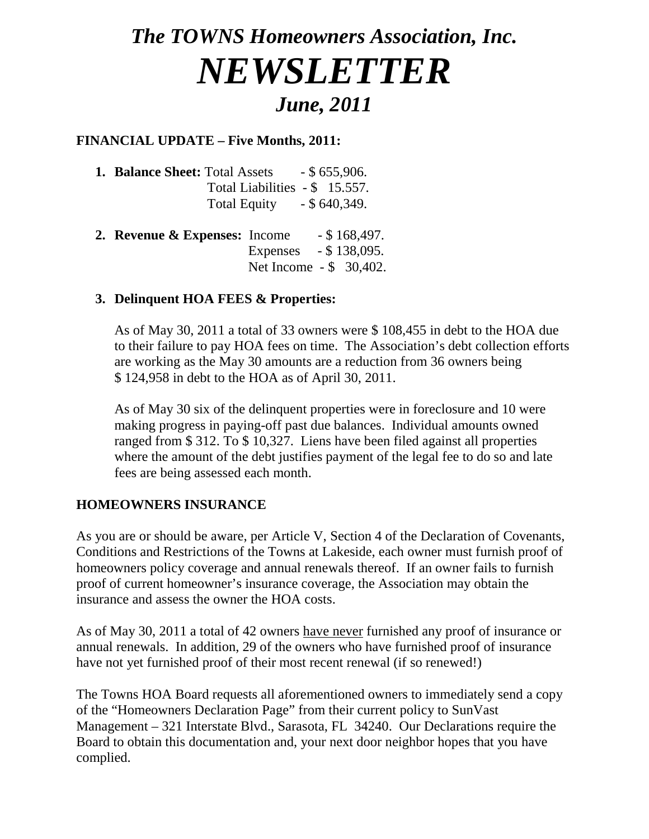# *The TOWNS Homeowners Association, Inc. NEWSLETTER June, 2011*

## **FINANCIAL UPDATE – Five Months, 2011:**

- **1. Balance Sheet:** Total Assets \$ 655,906. Total Liabilities - \$ 15.557. Total Equity - \$ 640,349.
- **2. Revenue & Expenses:** Income \$ 168,497. Expenses - \$ 138,095. Net Income - \$ 30,402.

#### **3. Delinquent HOA FEES & Properties:**

As of May 30, 2011 a total of 33 owners were \$ 108,455 in debt to the HOA due to their failure to pay HOA fees on time. The Association's debt collection efforts are working as the May 30 amounts are a reduction from 36 owners being \$ 124,958 in debt to the HOA as of April 30, 2011.

As of May 30 six of the delinquent properties were in foreclosure and 10 were making progress in paying-off past due balances. Individual amounts owned ranged from \$ 312. To \$ 10,327. Liens have been filed against all properties where the amount of the debt justifies payment of the legal fee to do so and late fees are being assessed each month.

## **HOMEOWNERS INSURANCE**

As you are or should be aware, per Article V, Section 4 of the Declaration of Covenants, Conditions and Restrictions of the Towns at Lakeside, each owner must furnish proof of homeowners policy coverage and annual renewals thereof. If an owner fails to furnish proof of current homeowner's insurance coverage, the Association may obtain the insurance and assess the owner the HOA costs.

As of May 30, 2011 a total of 42 owners have never furnished any proof of insurance or annual renewals. In addition, 29 of the owners who have furnished proof of insurance have not yet furnished proof of their most recent renewal (if so renewed!)

The Towns HOA Board requests all aforementioned owners to immediately send a copy of the "Homeowners Declaration Page" from their current policy to SunVast Management – 321 Interstate Blvd., Sarasota, FL 34240. Our Declarations require the Board to obtain this documentation and, your next door neighbor hopes that you have complied.